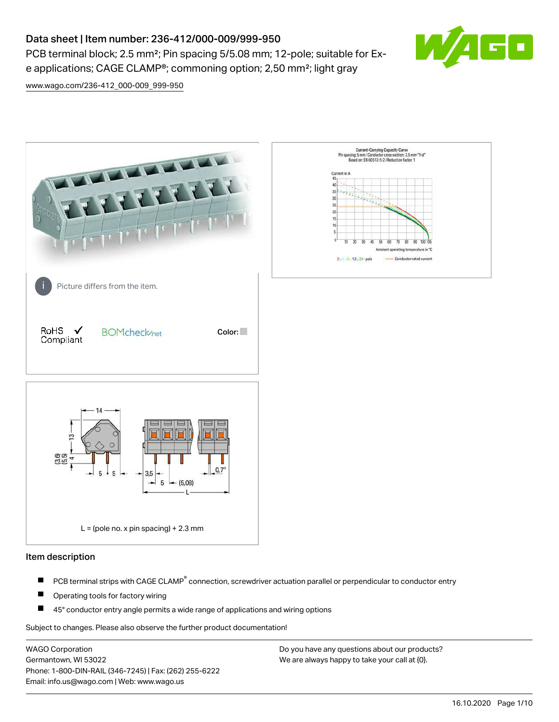# Data sheet | Item number: 236-412/000-009/999-950

PCB terminal block; 2.5 mm<sup>2</sup>; Pin spacing 5/5.08 mm; 12-pole; suitable for Exe applications; CAGE CLAMP®; commoning option; 2,50 mm²; light gray



[www.wago.com/236-412\\_000-009\\_999-950](http://www.wago.com/236-412_000-009_999-950)



### Item description

- PCB terminal strips with CAGE CLAMP<sup>®</sup> connection, screwdriver actuation parallel or perpendicular to conductor entry П
- П Operating tools for factory wiring
- П 45° conductor entry angle permits a wide range of applications and wiring options

Subject to changes. Please also observe the further product documentation!

WAGO Corporation Germantown, WI 53022 Phone: 1-800-DIN-RAIL (346-7245) | Fax: (262) 255-6222 Email: info.us@wago.com | Web: www.wago.us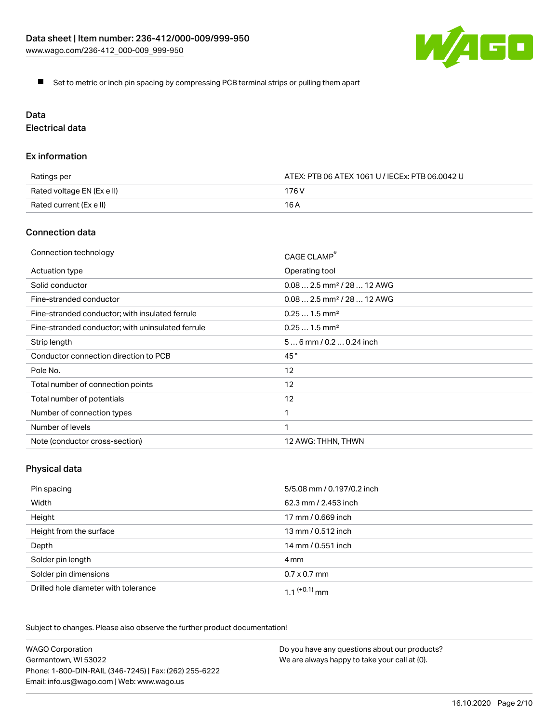

Set to metric or inch pin spacing by compressing PCB terminal strips or pulling them apart

# Data

Electrical data

### Ex information

| Ratings per                | ATEX: PTB 06 ATEX 1061 U / IECEx: PTB 06.0042 U |  |
|----------------------------|-------------------------------------------------|--|
| Rated voltage EN (Ex e II) | 176 V                                           |  |
| Rated current (Ex e II)    | 16 A                                            |  |

### Connection data

| Connection technology                             | CAGE CLAMP®                            |
|---------------------------------------------------|----------------------------------------|
| Actuation type                                    | Operating tool                         |
| Solid conductor                                   | $0.082.5$ mm <sup>2</sup> / 28  12 AWG |
| Fine-stranded conductor                           | $0.082.5$ mm <sup>2</sup> / 28  12 AWG |
| Fine-stranded conductor; with insulated ferrule   | $0.251.5$ mm <sup>2</sup>              |
| Fine-stranded conductor; with uninsulated ferrule | $0.251.5$ mm <sup>2</sup>              |
| Strip length                                      | $56$ mm / 0.2 $$ 0.24 inch             |
| Conductor connection direction to PCB             | 45°                                    |
| Pole No.                                          | 12                                     |
| Total number of connection points                 | 12                                     |
| Total number of potentials                        | 12                                     |
| Number of connection types                        |                                        |
| Number of levels                                  | 1                                      |
| Note (conductor cross-section)                    | 12 AWG: THHN, THWN                     |

# Physical data

| Pin spacing                          | 5/5.08 mm / 0.197/0.2 inch |
|--------------------------------------|----------------------------|
| Width                                | 62.3 mm / 2.453 inch       |
| Height                               | 17 mm / 0.669 inch         |
| Height from the surface              | 13 mm / 0.512 inch         |
| Depth                                | 14 mm / 0.551 inch         |
| Solder pin length                    | 4 mm                       |
| Solder pin dimensions                | $0.7 \times 0.7$ mm        |
| Drilled hole diameter with tolerance | $1.1$ <sup>(+0.1)</sup> mm |

Subject to changes. Please also observe the further product documentation!

| <b>WAGO Corporation</b>                                | Do you have any questions about our products? |
|--------------------------------------------------------|-----------------------------------------------|
| Germantown, WI 53022                                   | We are always happy to take your call at {0}. |
| Phone: 1-800-DIN-RAIL (346-7245)   Fax: (262) 255-6222 |                                               |
| Email: info.us@wago.com   Web: www.wago.us             |                                               |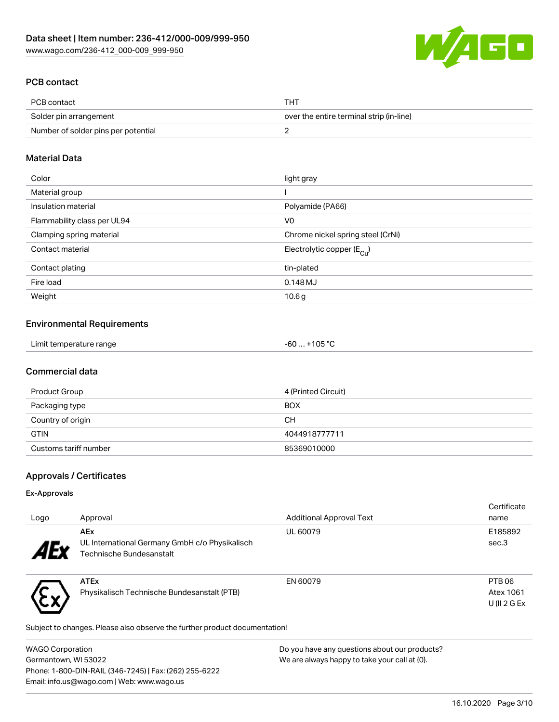

## PCB contact

| PCB contact                         | <b>THT</b>                               |
|-------------------------------------|------------------------------------------|
| Solder pin arrangement              | over the entire terminal strip (in-line) |
| Number of solder pins per potential |                                          |

### Material Data

| Color                       | light gray                            |
|-----------------------------|---------------------------------------|
| Material group              |                                       |
| Insulation material         | Polyamide (PA66)                      |
| Flammability class per UL94 | V <sub>0</sub>                        |
| Clamping spring material    | Chrome nickel spring steel (CrNi)     |
| Contact material            | Electrolytic copper $(E_{\text{Cl}})$ |
| Contact plating             | tin-plated                            |
| Fire load                   | $0.148$ MJ                            |
| Weight                      | 10.6g                                 |

### Environmental Requirements

| Limit temperature range | -60  +105 °C |  |
|-------------------------|--------------|--|
|-------------------------|--------------|--|

### Commercial data

| Product Group         | 4 (Printed Circuit) |
|-----------------------|---------------------|
| Packaging type        | <b>BOX</b>          |
| Country of origin     | CН                  |
| <b>GTIN</b>           | 4044918777711       |
| Customs tariff number | 85369010000         |

### Approvals / Certificates

### Ex-Approvals

<u>、トッ</u>

| Logo            | Approval                                                                                 | <b>Additional Approval Text</b> | Certificate<br>name                              |
|-----------------|------------------------------------------------------------------------------------------|---------------------------------|--------------------------------------------------|
| 4E <sub>v</sub> | <b>AEx</b><br>UL International Germany GmbH c/o Physikalisch<br>Technische Bundesanstalt | UL 60079                        | E185892<br>sec.3                                 |
|                 | <b>ATEx</b><br>Physikalisch Technische Bundesanstalt (PTB)                               | EN 60079                        | PTB <sub>06</sub><br>Atex 1061<br>$U($    2 G Ex |

Subject to changes. Please also observe the further product documentation!

| <b>WAGO Corporation</b>                                | Do you have any questions about our products? |
|--------------------------------------------------------|-----------------------------------------------|
| Germantown, WI 53022                                   | We are always happy to take your call at {0}. |
| Phone: 1-800-DIN-RAIL (346-7245)   Fax: (262) 255-6222 |                                               |
| Email: info.us@wago.com   Web: www.wago.us             |                                               |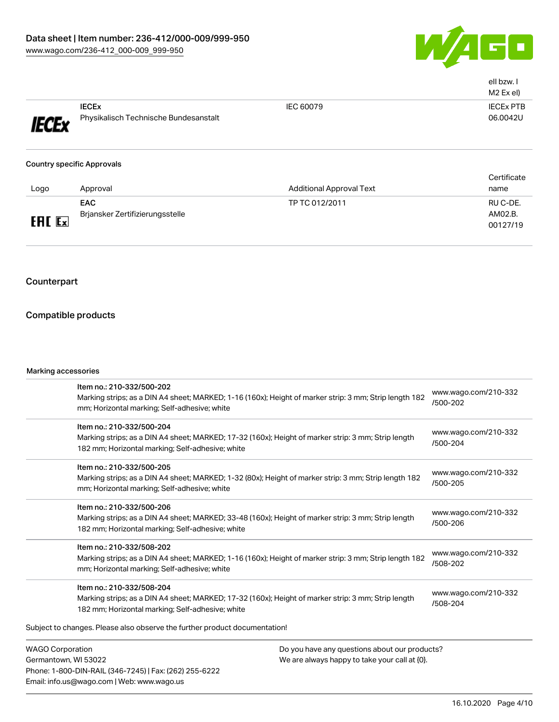

|              |                                       |           | ell bzw. I<br>M <sub>2</sub> Ex el) |
|--------------|---------------------------------------|-----------|-------------------------------------|
|              | <b>IECEX</b>                          | IEC 60079 | <b>IECEX PTB</b>                    |
| <b>IECEx</b> | Physikalisch Technische Bundesanstalt |           | 06.0042U                            |

#### Country specific Approvals

| Logo          | Approval                                      | <b>Additional Approval Text</b> | Certificate<br>name             |
|---------------|-----------------------------------------------|---------------------------------|---------------------------------|
| <b>ERL Ex</b> | <b>EAC</b><br>Brjansker Zertifizierungsstelle | TP TC 012/2011                  | RU C-DE.<br>AM02.B.<br>00127/19 |

### Counterpart

### Compatible products

#### Marking accessories

Phone: 1-800-DIN-RAIL (346-7245) | Fax: (262) 255-6222

Email: info.us@wago.com | Web: www.wago.us

| Item no.: 210-332/500-202                                                  |                                                                                                        |                                  |
|----------------------------------------------------------------------------|--------------------------------------------------------------------------------------------------------|----------------------------------|
|                                                                            | Marking strips; as a DIN A4 sheet; MARKED; 1-16 (160x); Height of marker strip: 3 mm; Strip length 182 | www.wago.com/210-332<br>/500-202 |
| mm; Horizontal marking; Self-adhesive; white                               |                                                                                                        |                                  |
| Item no.: 210-332/500-204                                                  |                                                                                                        |                                  |
|                                                                            | Marking strips; as a DIN A4 sheet; MARKED; 17-32 (160x); Height of marker strip: 3 mm; Strip length    | www.wago.com/210-332<br>/500-204 |
| 182 mm; Horizontal marking; Self-adhesive; white                           |                                                                                                        |                                  |
| Item no.: 210-332/500-205                                                  |                                                                                                        |                                  |
|                                                                            | Marking strips; as a DIN A4 sheet; MARKED; 1-32 (80x); Height of marker strip: 3 mm; Strip length 182  | www.wago.com/210-332<br>/500-205 |
| mm; Horizontal marking; Self-adhesive; white                               |                                                                                                        |                                  |
| Item no.: 210-332/500-206                                                  |                                                                                                        |                                  |
|                                                                            | Marking strips; as a DIN A4 sheet; MARKED; 33-48 (160x); Height of marker strip: 3 mm; Strip length    | www.wago.com/210-332<br>/500-206 |
| 182 mm; Horizontal marking; Self-adhesive; white                           |                                                                                                        |                                  |
| Item no.: 210-332/508-202                                                  |                                                                                                        |                                  |
|                                                                            | Marking strips; as a DIN A4 sheet; MARKED; 1-16 (160x); Height of marker strip: 3 mm; Strip length 182 | www.wago.com/210-332<br>/508-202 |
| mm; Horizontal marking; Self-adhesive; white                               |                                                                                                        |                                  |
| Item no.: 210-332/508-204                                                  |                                                                                                        |                                  |
|                                                                            | Marking strips; as a DIN A4 sheet; MARKED; 17-32 (160x); Height of marker strip: 3 mm; Strip length    | www.wago.com/210-332             |
| 182 mm; Horizontal marking; Self-adhesive; white                           |                                                                                                        | /508-204                         |
| Subject to changes. Please also observe the further product documentation! |                                                                                                        |                                  |
| <b>WAGO Corporation</b>                                                    | Do you have any questions about our products?                                                          |                                  |
| Germantown, WI 53022                                                       | We are always happy to take your call at {0}.                                                          |                                  |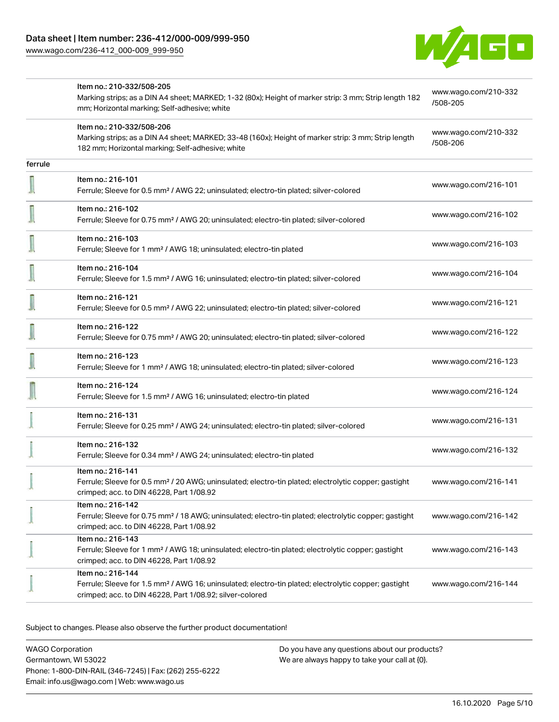

|         | Item no.: 210-332/508-205                                                                                                                                                                         |                                  |
|---------|---------------------------------------------------------------------------------------------------------------------------------------------------------------------------------------------------|----------------------------------|
|         | Marking strips; as a DIN A4 sheet; MARKED; 1-32 (80x); Height of marker strip: 3 mm; Strip length 182<br>mm; Horizontal marking; Self-adhesive; white                                             | www.wago.com/210-332<br>/508-205 |
|         | Item no.: 210-332/508-206<br>Marking strips; as a DIN A4 sheet; MARKED; 33-48 (160x); Height of marker strip: 3 mm; Strip length<br>182 mm; Horizontal marking; Self-adhesive; white              | www.wago.com/210-332<br>/508-206 |
| ferrule |                                                                                                                                                                                                   |                                  |
|         | Item no.: 216-101<br>Ferrule; Sleeve for 0.5 mm <sup>2</sup> / AWG 22; uninsulated; electro-tin plated; silver-colored                                                                            | www.wago.com/216-101             |
|         | Item no.: 216-102<br>Ferrule; Sleeve for 0.75 mm <sup>2</sup> / AWG 20; uninsulated; electro-tin plated; silver-colored                                                                           | www.wago.com/216-102             |
|         | Item no.: 216-103<br>Ferrule; Sleeve for 1 mm <sup>2</sup> / AWG 18; uninsulated; electro-tin plated                                                                                              | www.wago.com/216-103             |
|         | Item no.: 216-104<br>Ferrule; Sleeve for 1.5 mm <sup>2</sup> / AWG 16; uninsulated; electro-tin plated; silver-colored                                                                            | www.wago.com/216-104             |
|         | Item no.: 216-121<br>Ferrule; Sleeve for 0.5 mm <sup>2</sup> / AWG 22; uninsulated; electro-tin plated; silver-colored                                                                            | www.wago.com/216-121             |
|         | Item no.: 216-122<br>Ferrule; Sleeve for 0.75 mm <sup>2</sup> / AWG 20; uninsulated; electro-tin plated; silver-colored                                                                           | www.wago.com/216-122             |
|         | Item no.: 216-123<br>Ferrule; Sleeve for 1 mm <sup>2</sup> / AWG 18; uninsulated; electro-tin plated; silver-colored                                                                              | www.wago.com/216-123             |
|         | Item no.: 216-124<br>Ferrule; Sleeve for 1.5 mm <sup>2</sup> / AWG 16; uninsulated; electro-tin plated                                                                                            | www.wago.com/216-124             |
|         | Item no.: 216-131<br>Ferrule; Sleeve for 0.25 mm <sup>2</sup> / AWG 24; uninsulated; electro-tin plated; silver-colored                                                                           | www.wago.com/216-131             |
|         | Item no.: 216-132<br>Ferrule; Sleeve for 0.34 mm <sup>2</sup> / AWG 24; uninsulated; electro-tin plated                                                                                           | www.wago.com/216-132             |
|         | Item no.: 216-141<br>Ferrule; Sleeve for 0.5 mm <sup>2</sup> / 20 AWG; uninsulated; electro-tin plated; electrolytic copper; gastight<br>crimped; acc. to DIN 46228, Part 1/08.92                 | www.wago.com/216-141             |
|         | Item no.: 216-142<br>Ferrule; Sleeve for 0.75 mm <sup>2</sup> / 18 AWG; uninsulated; electro-tin plated; electrolytic copper; gastight<br>crimped; acc. to DIN 46228, Part 1/08.92                | www.wago.com/216-142             |
|         | Item no.: 216-143<br>Ferrule; Sleeve for 1 mm <sup>2</sup> / AWG 18; uninsulated; electro-tin plated; electrolytic copper; gastight<br>crimped; acc. to DIN 46228, Part 1/08.92                   | www.wago.com/216-143             |
|         | Item no.: 216-144<br>Ferrule; Sleeve for 1.5 mm <sup>2</sup> / AWG 16; uninsulated; electro-tin plated; electrolytic copper; gastight<br>crimped; acc. to DIN 46228, Part 1/08.92; silver-colored | www.wago.com/216-144             |

Subject to changes. Please also observe the further product documentation!

WAGO Corporation Germantown, WI 53022 Phone: 1-800-DIN-RAIL (346-7245) | Fax: (262) 255-6222 Email: info.us@wago.com | Web: www.wago.us Do you have any questions about our products? We are always happy to take your call at {0}.

16.10.2020 Page 5/10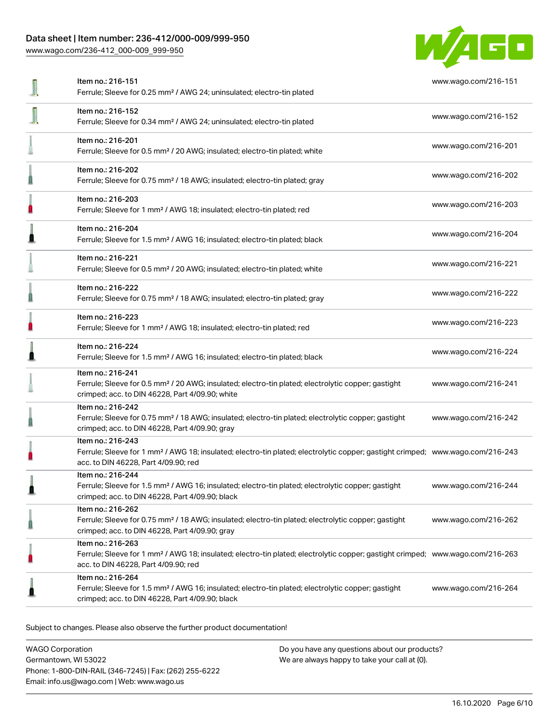### Data sheet | Item number: 236-412/000-009/999-950

[www.wago.com/236-412\\_000-009\\_999-950](http://www.wago.com/236-412_000-009_999-950)



|   | Item no.: 216-151<br>Ferrule; Sleeve for 0.25 mm <sup>2</sup> / AWG 24; uninsulated; electro-tin plated                                                                                                 | www.wago.com/216-151 |
|---|---------------------------------------------------------------------------------------------------------------------------------------------------------------------------------------------------------|----------------------|
|   | Item no.: 216-152<br>Ferrule; Sleeve for 0.34 mm <sup>2</sup> / AWG 24; uninsulated; electro-tin plated                                                                                                 | www.wago.com/216-152 |
|   | Item no.: 216-201<br>Ferrule; Sleeve for 0.5 mm <sup>2</sup> / 20 AWG; insulated; electro-tin plated; white                                                                                             | www.wago.com/216-201 |
|   | Item no.: 216-202<br>Ferrule; Sleeve for 0.75 mm <sup>2</sup> / 18 AWG; insulated; electro-tin plated; gray                                                                                             | www.wago.com/216-202 |
|   | Item no.: 216-203<br>Ferrule; Sleeve for 1 mm <sup>2</sup> / AWG 18; insulated; electro-tin plated; red                                                                                                 | www.wago.com/216-203 |
|   | Item no.: 216-204<br>Ferrule; Sleeve for 1.5 mm <sup>2</sup> / AWG 16; insulated; electro-tin plated; black                                                                                             | www.wago.com/216-204 |
|   | Item no.: 216-221<br>Ferrule; Sleeve for 0.5 mm <sup>2</sup> / 20 AWG; insulated; electro-tin plated; white                                                                                             | www.wago.com/216-221 |
|   | Item no.: 216-222<br>Ferrule; Sleeve for 0.75 mm <sup>2</sup> / 18 AWG; insulated; electro-tin plated; gray                                                                                             | www.wago.com/216-222 |
|   | Item no.: 216-223<br>Ferrule; Sleeve for 1 mm <sup>2</sup> / AWG 18; insulated; electro-tin plated; red                                                                                                 | www.wago.com/216-223 |
|   | Item no.: 216-224<br>Ferrule; Sleeve for 1.5 mm <sup>2</sup> / AWG 16; insulated; electro-tin plated; black                                                                                             | www.wago.com/216-224 |
|   | Item no.: 216-241<br>Ferrule; Sleeve for 0.5 mm <sup>2</sup> / 20 AWG; insulated; electro-tin plated; electrolytic copper; gastight<br>crimped; acc. to DIN 46228, Part 4/09.90; white                  | www.wago.com/216-241 |
|   | Item no.: 216-242<br>Ferrule; Sleeve for 0.75 mm <sup>2</sup> / 18 AWG; insulated; electro-tin plated; electrolytic copper; gastight<br>crimped; acc. to DIN 46228, Part 4/09.90; gray                  | www.wago.com/216-242 |
|   | Item no.: 216-243<br>Ferrule; Sleeve for 1 mm <sup>2</sup> / AWG 18; insulated; electro-tin plated; electrolytic copper; gastight crimped; www.wago.com/216-243<br>acc. to DIN 46228, Part 4/09.90; red |                      |
|   | Item no.: 216-244<br>Ferrule; Sleeve for 1.5 mm <sup>2</sup> / AWG 16; insulated; electro-tin plated; electrolytic copper; gastight<br>crimped; acc. to DIN 46228, Part 4/09.90; black                  | www.wago.com/216-244 |
|   | Item no.: 216-262<br>Ferrule; Sleeve for 0.75 mm <sup>2</sup> / 18 AWG; insulated; electro-tin plated; electrolytic copper; gastight<br>crimped; acc. to DIN 46228, Part 4/09.90; gray                  | www.wago.com/216-262 |
| O | Item no.: 216-263<br>Ferrule; Sleeve for 1 mm <sup>2</sup> / AWG 18; insulated; electro-tin plated; electrolytic copper; gastight crimped; www.wago.com/216-263<br>acc. to DIN 46228, Part 4/09.90; red |                      |
|   | Item no.: 216-264<br>Ferrule; Sleeve for 1.5 mm <sup>2</sup> / AWG 16; insulated; electro-tin plated; electrolytic copper; gastight<br>crimped; acc. to DIN 46228, Part 4/09.90; black                  | www.wago.com/216-264 |
|   |                                                                                                                                                                                                         |                      |

Subject to changes. Please also observe the further product documentation!

WAGO Corporation Germantown, WI 53022 Phone: 1-800-DIN-RAIL (346-7245) | Fax: (262) 255-6222 Email: info.us@wago.com | Web: www.wago.us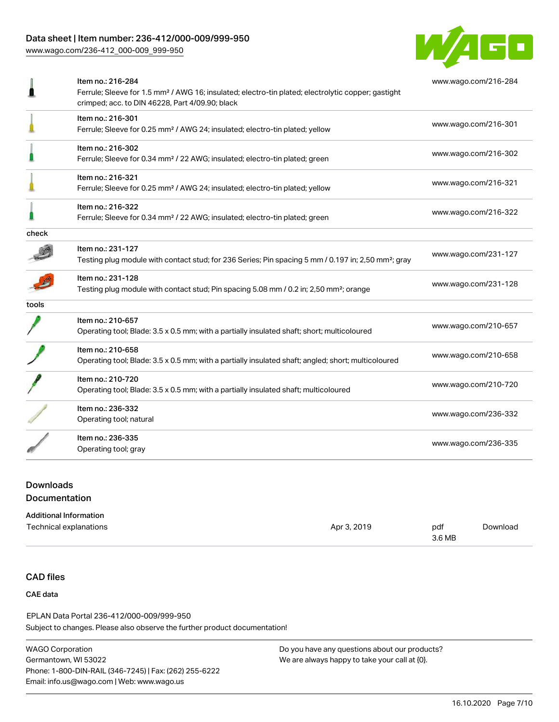### Data sheet | Item number: 236-412/000-009/999-950

[www.wago.com/236-412\\_000-009\\_999-950](http://www.wago.com/236-412_000-009_999-950)



| Item no.: 216-284                                                                                               | www.wago.com/216-284                            |
|-----------------------------------------------------------------------------------------------------------------|-------------------------------------------------|
| Ferrule; Sleeve for 1.5 mm <sup>2</sup> / AWG 16; insulated; electro-tin plated; electrolytic copper; gastight  |                                                 |
|                                                                                                                 |                                                 |
| Item no.: 216-301                                                                                               | www.wago.com/216-301                            |
| Ferrule; Sleeve for 0.25 mm <sup>2</sup> / AWG 24; insulated; electro-tin plated; yellow                        |                                                 |
| Item no.: 216-302                                                                                               |                                                 |
| Ferrule; Sleeve for 0.34 mm <sup>2</sup> / 22 AWG; insulated; electro-tin plated; green                         | www.wago.com/216-302                            |
| Item no.: 216-321                                                                                               |                                                 |
| Ferrule; Sleeve for 0.25 mm <sup>2</sup> / AWG 24; insulated; electro-tin plated; yellow                        | www.wago.com/216-321                            |
| Item no.: 216-322                                                                                               |                                                 |
| Ferrule; Sleeve for 0.34 mm <sup>2</sup> / 22 AWG; insulated; electro-tin plated; green                         | www.wago.com/216-322                            |
|                                                                                                                 |                                                 |
| Item no.: 231-127                                                                                               |                                                 |
| Testing plug module with contact stud; for 236 Series; Pin spacing 5 mm / 0.197 in; 2,50 mm <sup>2</sup> ; gray | www.wago.com/231-127                            |
| Item no.: 231-128                                                                                               |                                                 |
| Testing plug module with contact stud; Pin spacing 5.08 mm / 0.2 in; 2,50 mm <sup>2</sup> ; orange              | www.wago.com/231-128                            |
|                                                                                                                 |                                                 |
| Item no.: 210-657                                                                                               |                                                 |
| Operating tool; Blade: 3.5 x 0.5 mm; with a partially insulated shaft; short; multicoloured                     | www.wago.com/210-657                            |
| Item no.: 210-658                                                                                               |                                                 |
| Operating tool; Blade: 3.5 x 0.5 mm; with a partially insulated shaft; angled; short; multicoloured             | www.wago.com/210-658                            |
| Item no.: 210-720                                                                                               |                                                 |
| Operating tool; Blade: 3.5 x 0.5 mm; with a partially insulated shaft; multicoloured                            | www.wago.com/210-720                            |
| Item no.: 236-332                                                                                               |                                                 |
| Operating tool; natural                                                                                         | www.wago.com/236-332                            |
| Item no.: 236-335                                                                                               |                                                 |
| Operating tool; gray                                                                                            | www.wago.com/236-335                            |
|                                                                                                                 | crimped; acc. to DIN 46228, Part 4/09.90; black |

### Downloads Documentation

#### Additional Information Technical explanations and policy and the set of the set of the Apr 3, 2019 pdf 3.6 MB [Download](https://www.wago.com/us/d/1435602)

### CAD files

#### CAE data

Subject to changes. Please also observe the further product documentation! EPLAN Data Portal 236-412/000-009/999-950

WAGO Corporation Germantown, WI 53022 Phone: 1-800-DIN-RAIL (346-7245) | Fax: (262) 255-6222 Email: info.us@wago.com | Web: www.wago.us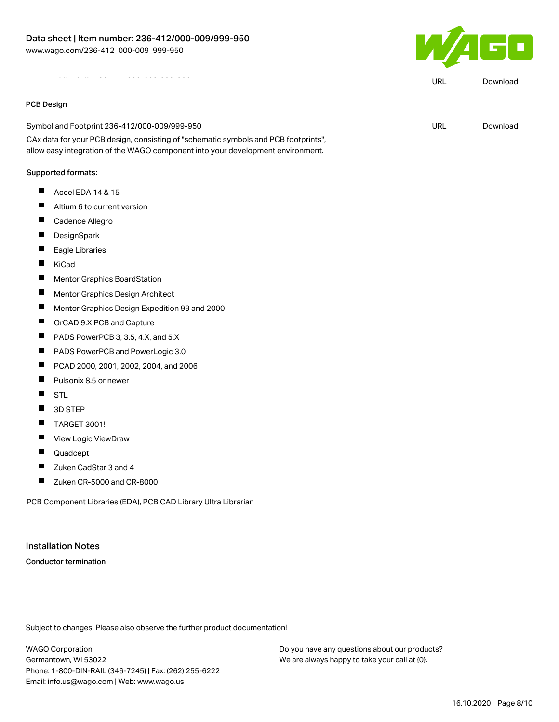

URL [Download](https://www.wago.com/us/d/EPLAN_URLS_236-412%252F000-009%252F999-950)

URL [Download](https://www.wago.com/us/d/UltraLibrarian_URLS_236-412_000-009_999-950)

|  |  |  |  |  | . |  |  |  |  |  |  |  |
|--|--|--|--|--|---|--|--|--|--|--|--|--|
|  |  |  |  |  |   |  |  |  |  |  |  |  |

#### PCB Design

Symbol and Footprint 236-412/000-009/999-950

CAx data for your PCB design, consisting of "schematic symbols and PCB footprints", allow easy integration of the WAGO component into your development environment.

#### Supported formats:

- $\blacksquare$  Accel EDA 14 & 15
- $\blacksquare$ Altium 6 to current version
- $\blacksquare$ Cadence Allegro
- $\blacksquare$ **DesignSpark**
- $\blacksquare$ Eagle Libraries
- $\blacksquare$ KiCad
- $\blacksquare$ Mentor Graphics BoardStation
- $\blacksquare$ Mentor Graphics Design Architect
- $\blacksquare$ Mentor Graphics Design Expedition 99 and 2000
- $\blacksquare$ OrCAD 9.X PCB and Capture
- $\blacksquare$ PADS PowerPCB 3, 3.5, 4.X, and 5.X
- $\blacksquare$ PADS PowerPCB and PowerLogic 3.0
- $\blacksquare$ PCAD 2000, 2001, 2002, 2004, and 2006
- $\blacksquare$ Pulsonix 8.5 or newer
- $\blacksquare$ **STL**
- П 3D STEP
- П TARGET 3001!
- $\blacksquare$ View Logic ViewDraw
- $\blacksquare$ Quadcept
- $\blacksquare$ Zuken CadStar 3 and 4
- П Zuken CR-5000 and CR-8000

PCB Component Libraries (EDA), PCB CAD Library Ultra Librarian

#### Installation Notes

Conductor termination

Subject to changes. Please also observe the further product documentation!

WAGO Corporation Germantown, WI 53022 Phone: 1-800-DIN-RAIL (346-7245) | Fax: (262) 255-6222 Email: info.us@wago.com | Web: www.wago.us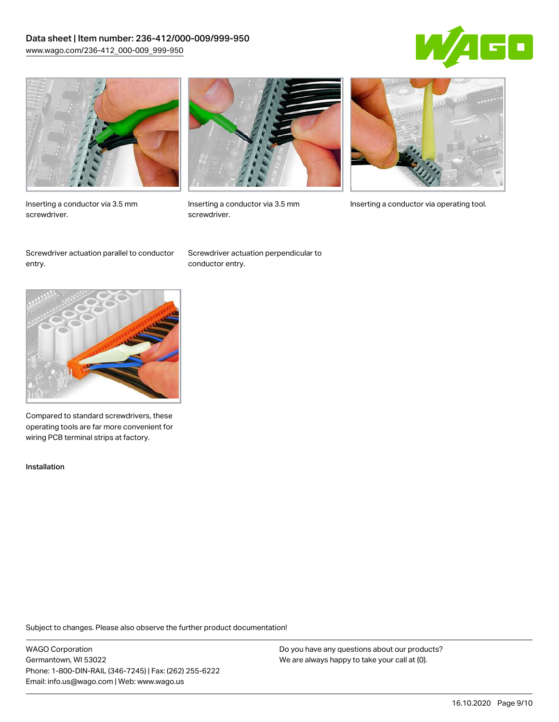### Data sheet | Item number: 236-412/000-009/999-950 [www.wago.com/236-412\\_000-009\\_999-950](http://www.wago.com/236-412_000-009_999-950)





Inserting a conductor via 3.5 mm screwdriver.



screwdriver.

Inserting a conductor via 3.5 mm Inserting a conductor via operating tool.

Screwdriver actuation parallel to conductor entry.

Screwdriver actuation perpendicular to conductor entry.



Compared to standard screwdrivers, these operating tools are far more convenient for wiring PCB terminal strips at factory.

Installation

Subject to changes. Please also observe the further product documentation!

WAGO Corporation Germantown, WI 53022 Phone: 1-800-DIN-RAIL (346-7245) | Fax: (262) 255-6222 Email: info.us@wago.com | Web: www.wago.us